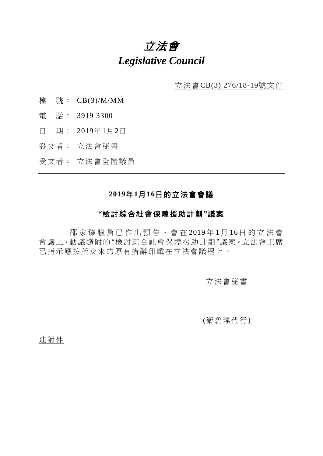# 立法會 *Legislative Council*

立法會CB(3) 276/18-19號文件

- 檔 號: CB(3)/M/MM
- 電 話: 3919 3300
- 日 期: 2019年1月2日
- 發文者: 立法會秘書
- 受文者: 立法會全體議員

## **2019**年**1**月**16**日的立法會會議

### **"**檢討綜合社會保障援助計劃**"**議案

邵家臻 議員已作出預告,會在 2019 年 1 月 16日的立 法 會 會議上,動議隨附的"檢討綜合社會保障援助計劃"議案。立法會主席 已指示應按所交來的原有措辭印載在立法會議程上。

立法會秘書

(衛碧瑤代行)

連附件